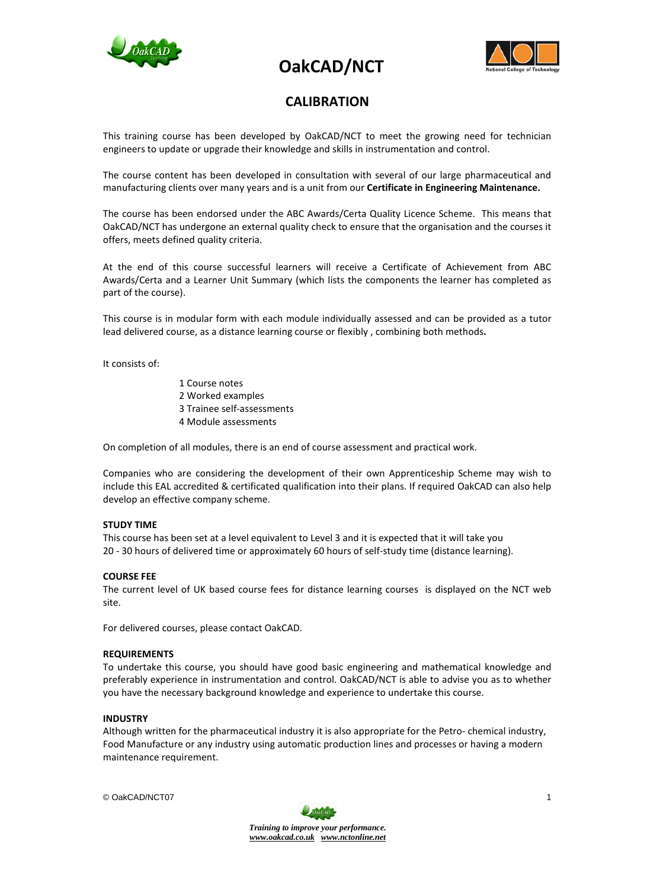





## **CALIBRATION**

This training course has been developed by OakCAD/NCT to meet the growing need for technician engineers to update or upgrade their knowledge and skills in instrumentation and control.

The course content has been developed in consultation with several of our large pharmaceutical and manufacturing clients over many years and is a unit from our **Certificate in Engineering Maintenance.**

The course has been endorsed under the ABC Awards/Certa Quality Licence Scheme. This means that OakCAD/NCT has undergone an external quality check to ensure that the organisation and the courses it offers, meets defined quality criteria.

At the end of this course successful learners will receive a Certificate of Achievement from ABC Awards/Certa and a Learner Unit Summary (which lists the components the learner has completed as part of the course).

This course is in modular form with each module individually assessed and can be provided as a tutor lead delivered course, as a distance learning course or flexibly , combining both methods**.**

It consists of:

1 Course notes 2 Worked examples 3 Trainee self-assessments 4 Module assessments

On completion of all modules, there is an end of course assessment and practical work.

Companies who are considering the development of their own Apprenticeship Scheme may wish to include this EAL accredited & certificated qualification into their plans. If required OakCAD can also help develop an effective company scheme.

## **STUDY TIME**

This course has been set at a level equivalent to Level 3 and it is expected that it will take you 20 - 30 hours of delivered time or approximately 60 hours of self-study time (distance learning).

## **COURSE FEE**

The current level of UK based course fees for distance learning courses is displayed on the NCT web site.

For delivered courses, please contact OakCAD.

#### **REQUIREMENTS**

To undertake this course, you should have good basic engineering and mathematical knowledge and preferably experience in instrumentation and control. OakCAD/NCT is able to advise you as to whether you have the necessary background knowledge and experience to undertake this course.

#### **INDUSTRY**

Although written for the pharmaceutical industry it is also appropriate for the Petro- chemical industry, Food Manufacture or any industry using automatic production lines and processes or having a modern maintenance requirement.

© OakCAD/NCT07